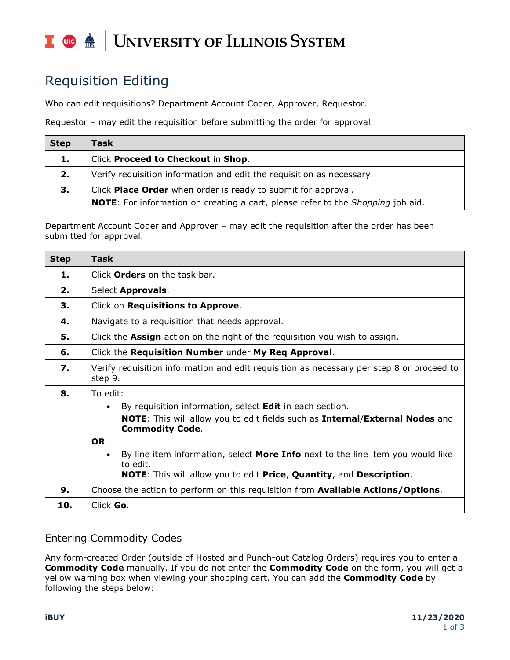#### T due de UNIVERSITY OF ILLINOIS SYSTEM

# Requisition Editing

Who can edit requisitions? Department Account Coder, Approver, Requestor.

Requestor – may edit the requisition before submitting the order for approval.

| <b>Step</b> | Task                                                                                          |
|-------------|-----------------------------------------------------------------------------------------------|
| 1.          | Click Proceed to Checkout in Shop.                                                            |
| 2.          | Verify requisition information and edit the requisition as necessary.                         |
| 3.          | Click Place Order when order is ready to submit for approval.                                 |
|             | <b>NOTE:</b> For information on creating a cart, please refer to the <i>Shopping</i> job aid. |

Department Account Coder and Approver – may edit the requisition after the order has been submitted for approval.

| <b>Step</b> | <b>Task</b>                                                                                                          |
|-------------|----------------------------------------------------------------------------------------------------------------------|
| 1.          | Click <b>Orders</b> on the task bar.                                                                                 |
| 2.          | Select <b>Approvals</b> .                                                                                            |
| З.          | Click on Requisitions to Approve.                                                                                    |
| 4.          | Navigate to a requisition that needs approval.                                                                       |
| 5.          | Click the <b>Assign</b> action on the right of the requisition you wish to assign.                                   |
| 6.          | Click the Requisition Number under My Req Approval.                                                                  |
| 7.          | Verify requisition information and edit requisition as necessary per step 8 or proceed to<br>step 9.                 |
| 8.          | To edit:                                                                                                             |
|             | By requisition information, select Edit in each section.<br>$\bullet$                                                |
|             | <b>NOTE:</b> This will allow you to edit fields such as <b>Internal/External Nodes</b> and<br><b>Commodity Code.</b> |
|             | <b>OR</b>                                                                                                            |
|             | By line item information, select <b>More Info</b> next to the line item you would like<br>$\bullet$<br>to edit.      |
|             | <b>NOTE:</b> This will allow you to edit Price, Quantity, and Description.                                           |
| 9.          | Choose the action to perform on this requisition from <b>Available Actions/Options</b> .                             |
| 10.         | Click Go.                                                                                                            |

### Entering Commodity Codes

Any form-created Order (outside of Hosted and Punch-out Catalog Orders) requires you to enter a **Commodity Code** manually. If you do not enter the **Commodity Code** on the form, you will get a yellow warning box when viewing your shopping cart. You can add the **Commodity Code** by following the steps below: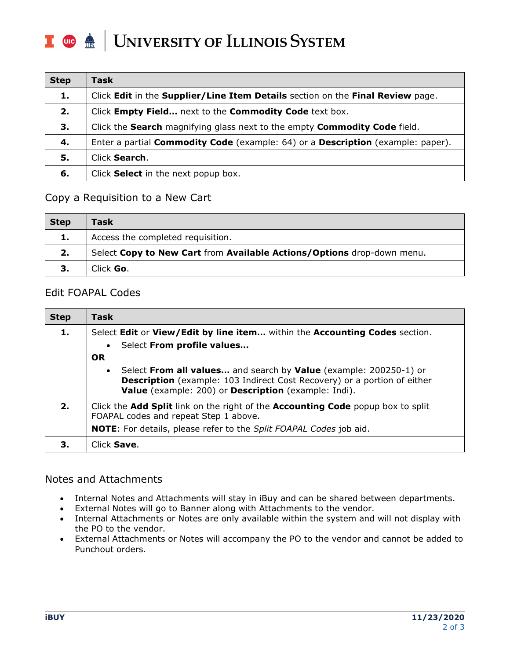#### UNIVERSITY OF ILLINOIS SYSTEM I die dis

| <b>Step</b> | Task                                                                                          |
|-------------|-----------------------------------------------------------------------------------------------|
| 1.          | Click Edit in the Supplier/Line Item Details section on the Final Review page.                |
| 2.          | Click Empty Field next to the Commodity Code text box.                                        |
| 3.          | Click the Search magnifying glass next to the empty Commodity Code field.                     |
| 4.          | Enter a partial <b>Commodity Code</b> (example: 64) or a <b>Description</b> (example: paper). |
| 5.          | Click <b>Search</b> .                                                                         |
| 6.          | Click Select in the next popup box.                                                           |

#### Copy a Requisition to a New Cart

| <b>Step</b> | Task                                                                   |
|-------------|------------------------------------------------------------------------|
| 1.          | Access the completed requisition.                                      |
| 2.          | Select Copy to New Cart from Available Actions/Options drop-down menu. |
| з.          | Click Go.                                                              |

#### Edit FOAPAL Codes

| <b>Step</b> | <b>Task</b>                                                                                                                                                                                                    |
|-------------|----------------------------------------------------------------------------------------------------------------------------------------------------------------------------------------------------------------|
| 1.          | Select Edit or View/Edit by line item within the Accounting Codes section.                                                                                                                                     |
|             | • Select From profile values                                                                                                                                                                                   |
|             | <b>OR</b>                                                                                                                                                                                                      |
|             | • Select From all values and search by Value (example: 200250-1) or<br><b>Description</b> (example: 103 Indirect Cost Recovery) or a portion of either<br>Value (example: 200) or Description (example: Indi). |
| 2.          | Click the <b>Add Split</b> link on the right of the <b>Accounting Code</b> popup box to split<br>FOAPAL codes and repeat Step 1 above.                                                                         |
|             | <b>NOTE:</b> For details, please refer to the Split FOAPAL Codes job aid.                                                                                                                                      |
| З.          | Click Save.                                                                                                                                                                                                    |

#### Notes and Attachments

- Internal Notes and Attachments will stay in iBuy and can be shared between departments.
- External Notes will go to Banner along with Attachments to the vendor.
- Internal Attachments or Notes are only available within the system and will not display with the PO to the vendor.
- External Attachments or Notes will accompany the PO to the vendor and cannot be added to Punchout orders.